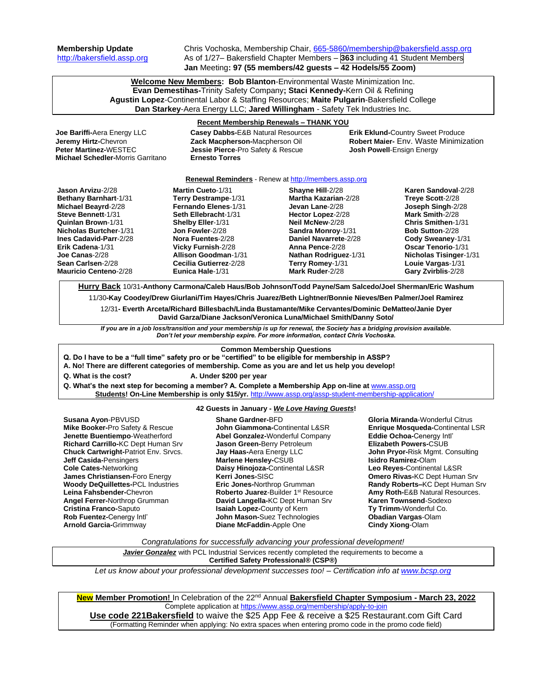**Membership Update** Chris Vochoska, Membership Chair, [665-5860/membership@bakersfield.assp.org](mailto:665-5860/membership@bakersfield.assp.org) [http://bakersfield.assp.org](http://bakersfield.assp.org/) As of 1/27– Bakersfield Chapter Members – **363** including 41 Student Members **Jan** Meeting**: 97 (55 members/42 guests – 42 Hodels/55 Zoom)**

> **Welcome New Members: Bob Blanton**-Environmental Waste Minimization Inc. **Evan Demestihas-**Trinity Safety Company**; Staci Kennedy-**Kern Oil & Refining **Agustin Lopez**-Continental Labor & Staffing Resources; **Maite Pulgarin**-Bakersfield College **Dan Starkey**-Aera Energy LLC; **Jared Willingham** - Safety Tek Industries Inc.

| <b>Dan Starkey-</b> Aera Energy LLC; Jared willingham - Safety Tek Industries Inc.                                         |                                                                  |                                  |                                              |                                          |  |  |
|----------------------------------------------------------------------------------------------------------------------------|------------------------------------------------------------------|----------------------------------|----------------------------------------------|------------------------------------------|--|--|
| <b>Recent Membership Renewals - THANK YOU</b>                                                                              |                                                                  |                                  |                                              |                                          |  |  |
| Joe Bariffi-Aera Energy LLC                                                                                                | Casey Dabbs-E&B Natural Resources                                |                                  |                                              | <b>Erik Eklund-Country Sweet Produce</b> |  |  |
| Jeremy Hirtz-Chevron                                                                                                       | Zack Macpherson-Macpherson Oil                                   |                                  | <b>Robert Majer- Env. Waste Minimization</b> |                                          |  |  |
| Peter Martinez-WESTEC                                                                                                      | Jessie Pierce-Pro Safety & Rescue                                |                                  | <b>Josh Powell-Ensign Energy</b>             |                                          |  |  |
| Michael Schedler-Morris Garritano                                                                                          | <b>Ernesto Torres</b>                                            |                                  |                                              |                                          |  |  |
|                                                                                                                            |                                                                  |                                  |                                              |                                          |  |  |
| Renewal Reminders - Renew at http://members.assp.org                                                                       |                                                                  |                                  |                                              |                                          |  |  |
| Jason Arvizu-2/28                                                                                                          | <b>Martin Cueto-1/31</b>                                         | Shayne Hill-2/28                 |                                              | Karen Sandoval-2/28                      |  |  |
| Bethany Barnhart-1/31                                                                                                      | Terry Destrampe-1/31                                             | <b>Martha Kazarian-2/28</b>      | Treye Scott-2/28                             |                                          |  |  |
| Michael Beayrd-2/28                                                                                                        | Fernando Elenes-1/31                                             | Jevan Lane-2/28                  | Joseph Singh-2/28                            |                                          |  |  |
| Steve Bennett-1/31                                                                                                         | Seth Ellebracht-1/31                                             | Hector Lopez-2/28                | Mark Smith-2/28                              |                                          |  |  |
| Quinlan Brown-1/31                                                                                                         | Shelby Eller-1/31                                                | Neil McNew-2/28                  | Chris Smithen-1/31                           |                                          |  |  |
| Nicholas Burtcher-1/31                                                                                                     | Jon Fowler-2/28                                                  | Sandra Monroy-1/31               | <b>Bob Sutton-2/28</b>                       |                                          |  |  |
| Ines Cadavid-Parr-2/28                                                                                                     | Nora Fuentes-2/28                                                | Daniel Navarrete-2/28            | Cody Sweaney-1/31                            |                                          |  |  |
| Erik Cadena-1/31                                                                                                           | Vicky Furnish-2/28                                               | Anna Pence-2/28                  | <b>Oscar Tenorio-1/31</b>                    |                                          |  |  |
| Joe Canas-2/28                                                                                                             | <b>Allison Goodman-1/31</b>                                      | Nathan Rodriguez-1/31            |                                              | <b>Nicholas Tisinger-1/31</b>            |  |  |
| Sean Carlsen-2/28                                                                                                          | Cecilia Gutierrez-2/28                                           | Terry Romey-1/31                 | Louie Vargas-1/31                            |                                          |  |  |
| <b>Mauricio Centeno-2/28</b>                                                                                               | Eunica Hale-1/31                                                 | Mark Ruder-2/28                  | Gary Zvirblis-2/28                           |                                          |  |  |
|                                                                                                                            |                                                                  |                                  |                                              |                                          |  |  |
| Hurry Back 10/31-Anthony Carmona/Caleb Haus/Bob Johnson/Todd Payne/Sam Salcedo/Joel Sherman/Eric Washum                    |                                                                  |                                  |                                              |                                          |  |  |
| 11/30-Kay Coodey/Drew Giurlani/Tim Hayes/Chris Juarez/Beth Lightner/Bonnie Nieves/Ben Palmer/Joel Ramirez                  |                                                                  |                                  |                                              |                                          |  |  |
| 12/31- Everth Arceta/Richard Billesbach/Linda Bustamante/Mike Cervantes/Dominic DeMatteo/Janie Dyer                        |                                                                  |                                  |                                              |                                          |  |  |
| David Garza/Diane Jackson/Veronica Luna/Michael Smith/Danny Soto/                                                          |                                                                  |                                  |                                              |                                          |  |  |
| If you are in a job loss/transition and your membership is up for renewal, the Society has a bridging provision available. |                                                                  |                                  |                                              |                                          |  |  |
| Don't let your membership expire. For more information, contact Chris Vochoska.                                            |                                                                  |                                  |                                              |                                          |  |  |
|                                                                                                                            |                                                                  |                                  |                                              |                                          |  |  |
| <b>Common Membership Questions</b>                                                                                         |                                                                  |                                  |                                              |                                          |  |  |
| Q. Do I have to be a "full time" safety pro or be "certified" to be eligible for membership in ASSP?                       |                                                                  |                                  |                                              |                                          |  |  |
| A. No! There are different categories of membership. Come as you are and let us help you develop!                          |                                                                  |                                  |                                              |                                          |  |  |
| Q. What is the cost?<br>A. Under \$200 per year                                                                            |                                                                  |                                  |                                              |                                          |  |  |
| Q. What's the next step for becoming a member? A. Complete a Membership App on-line at www.assp.org                        |                                                                  |                                  |                                              |                                          |  |  |
| Students! On-Line Membership is only \$15/yr. http://www.assp.org/assp-student-membership-application/                     |                                                                  |                                  |                                              |                                          |  |  |
| 42 Guests in January - We Love Having Guests!                                                                              |                                                                  |                                  |                                              |                                          |  |  |
| Susana Ayon-PBVUSD<br><b>Shane Gardner-BFD</b><br><b>Gloria Miranda-</b> Wonderful Citrus                                  |                                                                  |                                  |                                              |                                          |  |  |
| Mike Booker-Pro Safety & Rescue                                                                                            | John Giammona-Continental L&SR                                   |                                  |                                              | <b>Enrique Mosqueda-Continental LSR</b>  |  |  |
| Jenette Buentiempo-Weatherford                                                                                             | Abel Gonzalez-Wonderful Company                                  |                                  | Eddie Ochoa-Cenergy Intl'                    |                                          |  |  |
| Richard Carrillo-KC Dept Human Srv                                                                                         | Jason Green-Berry Petroleum                                      | <b>Elizabeth Powers-CSUB</b>     |                                              |                                          |  |  |
|                                                                                                                            | Chuck Cartwright-Patriot Env. Srvcs.<br>Jay Haas-Aera Energy LLC |                                  |                                              |                                          |  |  |
| Jeff Casida-Pensingers                                                                                                     |                                                                  | John Pryor-Risk Mgmt. Consulting |                                              |                                          |  |  |
|                                                                                                                            |                                                                  | Marlene Hensley-CSUB             |                                              | Isidro Ramirez-Olam                      |  |  |

**Jeff Casida-**Pensingers **Cole Cates-**Networking **James Christiansen-**Foro Energy **Woody DeQuillettes-**PCL Industries **Leina Fahsbender-**Chevron **Angel Ferrer-**Northrop Grumman **Cristina Franco-**Saputo **Rob Fuentez-**Cenergy Intl' **Arnold Garcia-**Grimmway

**Daisy Hinojoza-**Continental L&SR **Kerri Jones-**SISC **Eric Jones-**Northrop Grumman Roberto Juarez-Builder 1<sup>st</sup> Resource **David Langella-**KC Dept Human Srv **Isaiah Lopez-**County of Kern **John Mason-**Suez Technologies **Diane McFaddin**-Apple One

**Leo Reyes-**Continental L&SR **Omero Rivas-**KC Dept Human Srv **Randy Roberts–**KC Dept Human Srv **Amy Roth-**E&B Natural Resources. **Karen Townsend**-Sodexo **Ty Trimm-**Wonderful Co. **Obadian Vargas**-Olam **Cindy Xiong**-Olam

*Congratulations for successfully advancing your professional development!*

**Javier Gonzalez** with PCL Industrial Services recently completed the requirements to become a

**Certified Safety Professional® (CSP®)**

*Let us know about your professional development successes too! – Certification info at [www.bcsp.org](http://www.bcsp.org/)*

**New Member Promotion!** In Celebration of the 22 nd Annual **Bakersfield Chapter Symposium - March 23, 2022** Complete application at<https://www.assp.org/membership/apply-to-join> **Use code 221Bakersfield** to waive the \$25 App Fee & receive a \$25 Restaurant.com Gift Card (Formatting Reminder when applying: No extra spaces when entering promo code in the promo code field)